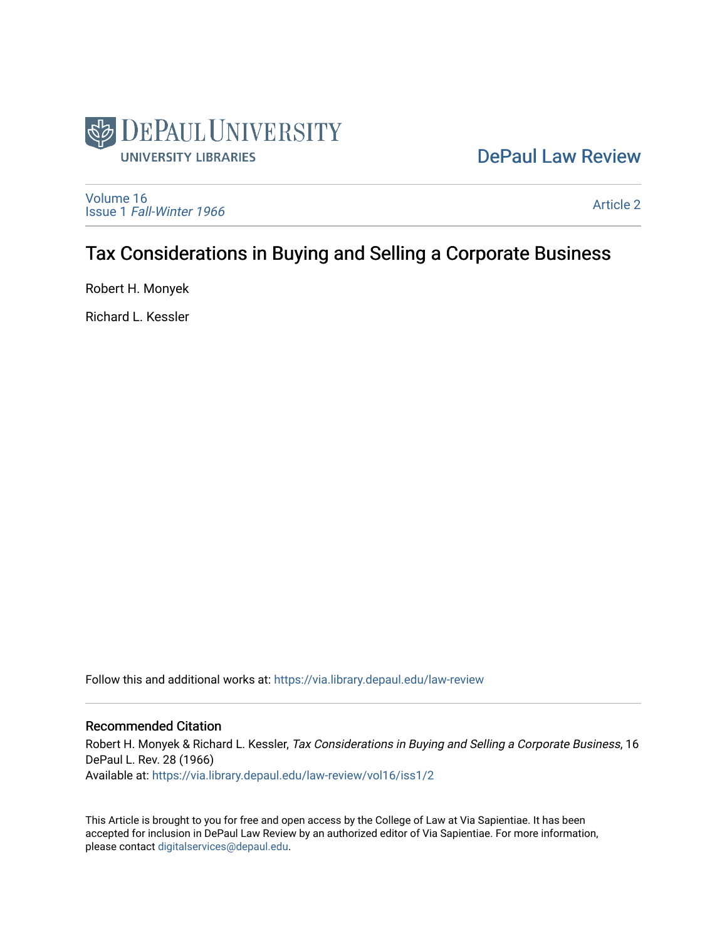

## [DePaul Law Review](https://via.library.depaul.edu/law-review)

[Volume 16](https://via.library.depaul.edu/law-review/vol16) Issue 1 [Fall-Winter 1966](https://via.library.depaul.edu/law-review/vol16/iss1)

[Article 2](https://via.library.depaul.edu/law-review/vol16/iss1/2) 

# Tax Considerations in Buying and Selling a Corporate Business

Robert H. Monyek

Richard L. Kessler

Follow this and additional works at: [https://via.library.depaul.edu/law-review](https://via.library.depaul.edu/law-review?utm_source=via.library.depaul.edu%2Flaw-review%2Fvol16%2Fiss1%2F2&utm_medium=PDF&utm_campaign=PDFCoverPages) 

## Recommended Citation

Robert H. Monyek & Richard L. Kessler, Tax Considerations in Buying and Selling a Corporate Business, 16 DePaul L. Rev. 28 (1966) Available at: [https://via.library.depaul.edu/law-review/vol16/iss1/2](https://via.library.depaul.edu/law-review/vol16/iss1/2?utm_source=via.library.depaul.edu%2Flaw-review%2Fvol16%2Fiss1%2F2&utm_medium=PDF&utm_campaign=PDFCoverPages) 

This Article is brought to you for free and open access by the College of Law at Via Sapientiae. It has been accepted for inclusion in DePaul Law Review by an authorized editor of Via Sapientiae. For more information, please contact [digitalservices@depaul.edu.](mailto:digitalservices@depaul.edu)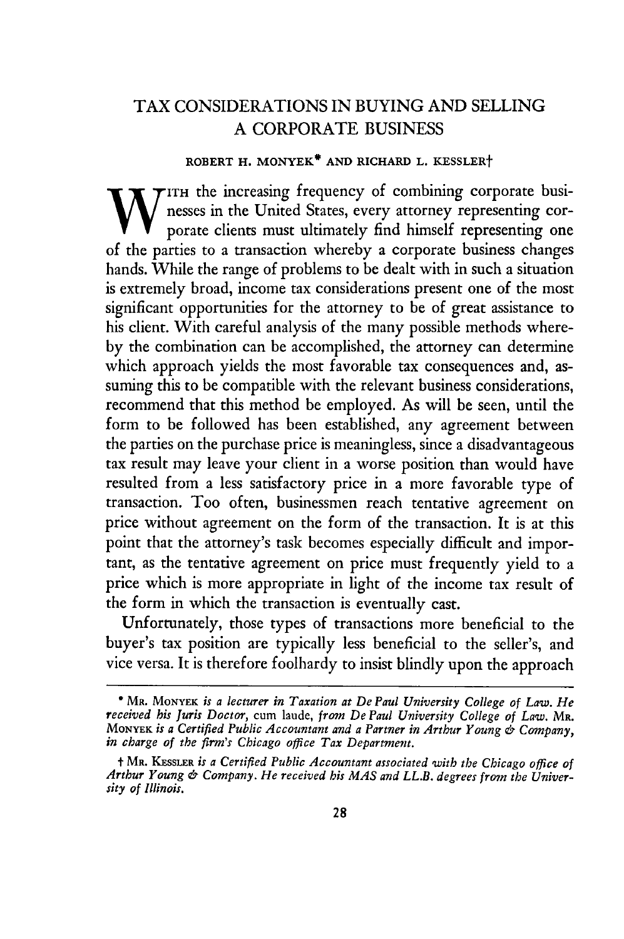## TAX CONSIDERATIONS IN BUYING AND SELLING A CORPORATE BUSINESS

#### ROBERT H. MONYEK<sup>\*</sup> AND RICHARD L. KESSLER<sup>†</sup>

 $T$ ITH the increasing frequency of combining corporate businesses in the United States, every attorney representing corporate clients must ultimately find himself representing one of the parties to a transaction whereby a corporate business changes hands. While the range of problems to be dealt with in such a situation is extremely broad, income tax considerations present one of the most significant opportunities for the attorney to be of great assistance to his client. With careful analysis of the many possible methods whereby the combination can be accomplished, the attorney can determine which approach yields the most favorable tax consequences and, assuming this to be compatible with the relevant business considerations, recommend that this method be employed. As will be seen, until the form to be followed has been established, any agreement between the parties on the purchase price is meaningless, since a disadvantageous tax result may leave your client in a worse position than would have resulted from a less satisfactory price in a more favorable type of transaction. Too often, businessmen reach tentative agreement on price without agreement on the form of the transaction. It is at this point that the attorney's task becomes especially difficult and important, as the tentative agreement on price must frequently yield to a price which is more appropriate in light of the income tax result of the form in which the transaction is eventually cast.

Unfortunately, those types of transactions more beneficial to the buyer's tax position are typically less beneficial to the seller's, and vice versa. It is therefore foolhardy to insist blindly upon the approach

**<sup>\*</sup> MR.** MONYEK *is a lecturer in Taxation at De Paul University College of Law. He received his Juris Doctor,* cum laude, *from De Paul University College of Law.* MR. MONYEK *is a Certified Public Accountant and a Partner in Arthur Young & Company, in charge of the firm's Chicago office Tax Department.*

<sup>-</sup>**MR.** KESSLER *is a Certified Public Accountant associated with the Chicago office of Arthur Young & Company. He received his MAS and LL.B. degrees from the University of Illinois.*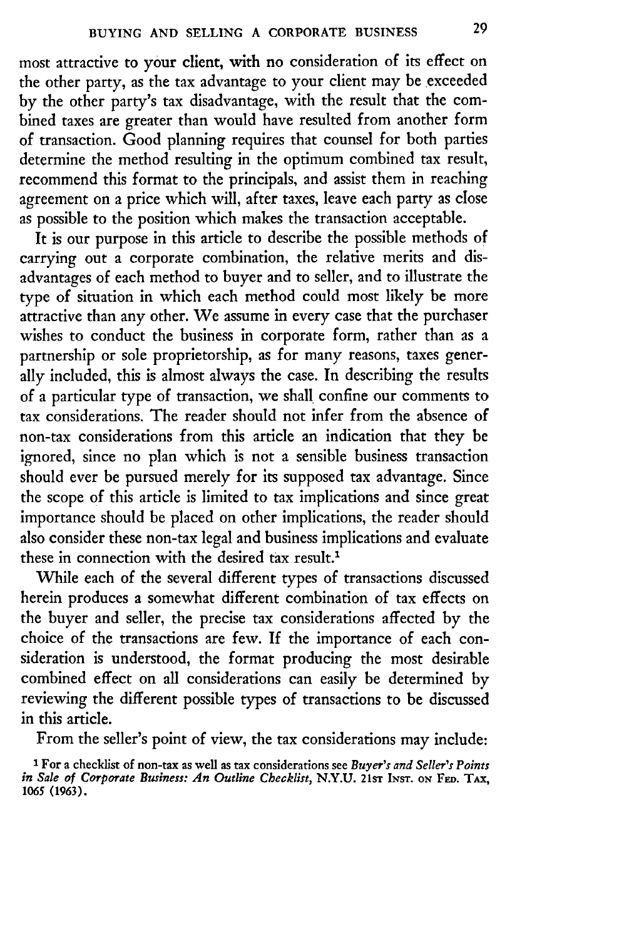most attractive to your client, with no consideration of its effect on the other party, as the tax advantage to your client may be exceeded by the other party's tax disadvantage, with the result that the combined taxes are greater than would have resulted from another form of transaction. Good planning requires that counsel for both parties determine the method resulting in the optimum combined tax result, recommend this format to the principals, and assist them in reaching agreement on a price which will, after taxes, leave each party as close as possible to the position which makes the transaction acceptable.

It is our purpose in this article to describe the possible methods of carrying out a corporate combination, the relative merits and disadvantages of each method to buyer and to seller, and to illustrate the type of situation in which each method could most likely be more attractive than any other. We assume in every case that the purchaser wishes to conduct the business in corporate form, rather than as a partnership or sole proprietorship, as for many reasons, taxes generally included, this is almost always the case. In describing the results of a particular type of transaction, we shall confine our comments to tax considerations. The reader should not infer from the absence of non-tax considerations from this article an indication that they be ignored, since no plan which is not a sensible business transaction should ever be pursued merely for its supposed tax advantage. Since the scope of this article is limited to tax implications and since great importance should be placed on other implications, the reader should also consider these non-tax legal and business implications and evaluate these in connection with the desired tax result.'

While each of the several different types of transactions discussed herein produces a somewhat different combination of tax effects on the buyer and seller, the precise tax considerations affected by the choice of the transactions are few. **If** the importance of each consideration is understood, the format producing the most desirable combined effect on all considerations can easily be determined by reviewing the different possible types of transactions to be discussed in this article.

From the seller's point of view, the tax considerations may include:

**1 For a** checklist **of** non-tax **as** well as tax considerations see *Buyer's and Seller's Points in Sale of Corporate Business: An Outline Checklist,* **N.Y.U. 21sT INsT. oN FED.** TAx, *1065* **(1963).**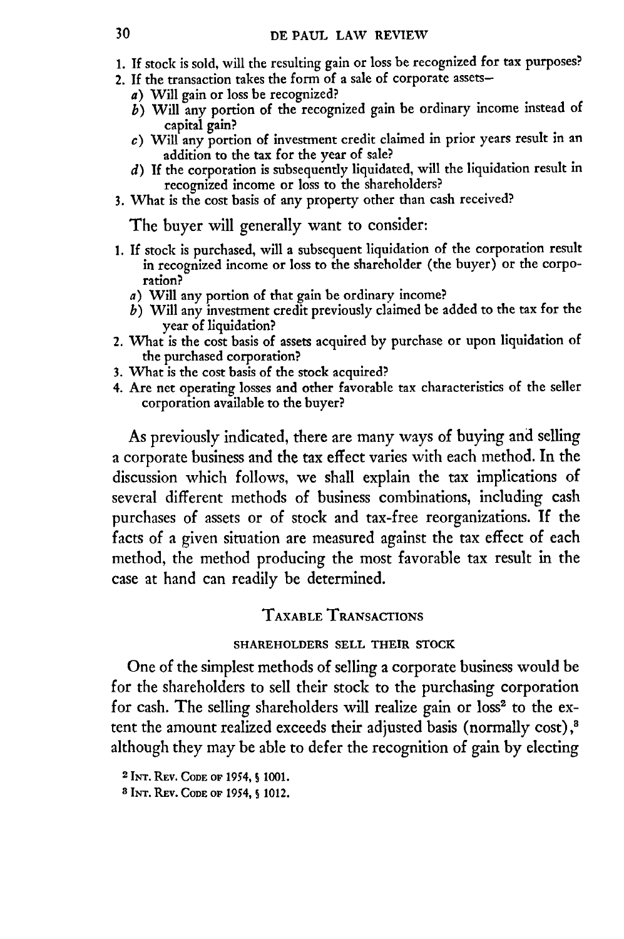- **1. If** stock is sold, will the resulting gain or loss be recognized for tax purposes?
- 2. **If** the transaction takes the **form** of a sale of corporate assets
	- *a)* Will gain or loss be recognized?
	- *b)* Will any portion of the recognized gain **be** ordinary income instead of capital gain?
	- c) Will any portion of investment credit claimed in prior years result in an addition to the tax for the year of sale?
	- *d)* **If** the corporation is subsequently liquidated, will the liquidation result in recognized income or loss to the shareholders?
- **3.** What is the cost basis of any property other than cash received?

The buyer will generally want to consider:

- **1.** If stock is purchased, will a subsequent liquidation of the corporation result in recognized income or loss to the shareholder (the buyer) or the corporation?
	- *a)* Will any portion of that gain be ordinary income?
	- *b)* Will any investment credit previously claimed be added to the tax for the year of liquidation?
- 2. What is the cost basis of assets acquired **by** purchase or upon liquidation of the purchased corporation?
- 3. What is the cost basis of the stock acquired?
- 4. Are net operating losses and other favorable tax characteristics of the seller corporation available to the buyer?

As previously indicated, there are many ways of buying and selling a corporate business and the tax effect varies with each method. In the discussion which follows, we shall explain the tax implications of several different methods of business combinations, including cash purchases of assets or of stock and tax-free reorganizations. If the facts of a given situation are measured against the tax effect of each method, the method producing the most favorable tax result in the case at hand can readily be determined.

## TAXABLE **TRANSACTIONS**

## SHAREHOLDERS **SELL** THEIR STOCK

One of the simplest methods of selling a corporate business would be for the shareholders to sell their stock to the purchasing corporation for cash. The selling shareholders will realize gain or loss<sup>2</sup> to the extent the amount realized exceeds their adjusted basis (normally cost), although they may be able to defer the recognition of gain **by** electing

2 **ITNr.** REV. **CODE oF** 1954, § **1001. 3 INT. REV. CODE OF 1954, S 1012.**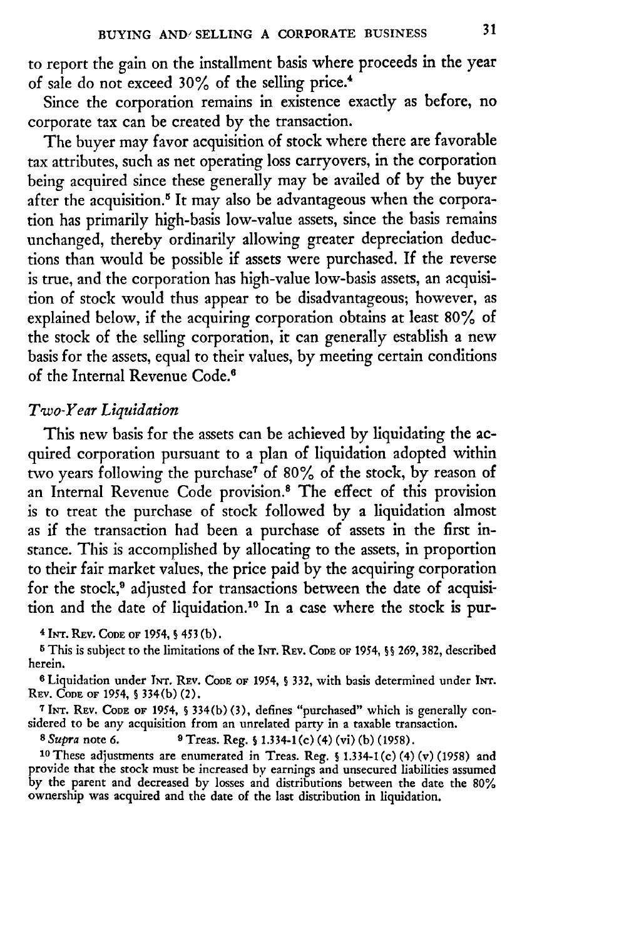to report the gain on the installment basis where proceeds in the year of sale do not exceed 30% of the selling price.

Since the corporation remains in existence exactly as before, no corporate tax can be created by the transaction.

The buyer may favor acquisition of stock where there are favorable tax attributes, such as net operating loss carryovers, in the corporation being acquired since these generally may be availed of by the buyer after the acquisition.<sup>8</sup> It may also be advantageous when the corporation has primarily high-basis low-value assets, since the basis remains unchanged, thereby ordinarily allowing greater depreciation deductions than would be possible if assets were purchased. If the reverse is true, and the corporation has high-value low-basis assets, an acquisition of stock would thus appear to be disadvantageous; however, as explained below, if the acquiring corporation obtains at least 80% of the stock of the selling corporation, it can generally establish a new basis for the assets, equal to their values, by meeting certain conditions of the Internal Revenue Code.6

## *Two-Year Liquidation*

This new basis for the assets can be achieved by liquidating the acquired corporation pursuant to a plan of liquidation adopted within two years following the purchase<sup>7</sup> of 80% of the stock, by reason of an Internal Revenue Code provision.<sup>8</sup> The effect of this provision is to treat the purchase of stock followed by a liquidation almost as if the transaction had been a purchase of assets in the first instance. This is accomplished by allocating to the assets, in proportion to their fair market values, the price paid by the acquiring corporation for the stock,<sup>9</sup> adjusted for transactions between the date of acquisition and the date of liquidation. 10 In a case where the stock is pur-

**<sup>4</sup>**Irrr. **REv. CODE OF** 1954, **§** 453 **(b).**

**5** This is subject to the limitations of the INr. REv. CODE **OF** 1954, **5§** 269, 382, described herein.

**6** Liquidation under **INr.** REv. **CODE OF** 1954, **S** 332, with basis determined under **rr.** REv. **CoDE OF** 1954, **§** 334(b) (2).

**7 TNr. REv. CODE OF 1954, S** 334(b) (3), defines "purchased" which is generally considered to be any acquisition from an unrelated party in a taxable transaction.

*<sup>8</sup> Supra* note 6. **9** Treas. Reg. **5** 1.334-1(c) (4) (vi) **(b)** (1958).

**10** These adjustments are enumerated in Treas. Reg. **S** 1.334-1(c) (4) (v) (1958) and provide that the stock must be increased by earnings and unsecured liabilities assumed by the parent and decreased by losses and distributions between the date the **80%** ownership was acquired and the date of the last distribution in liquidation.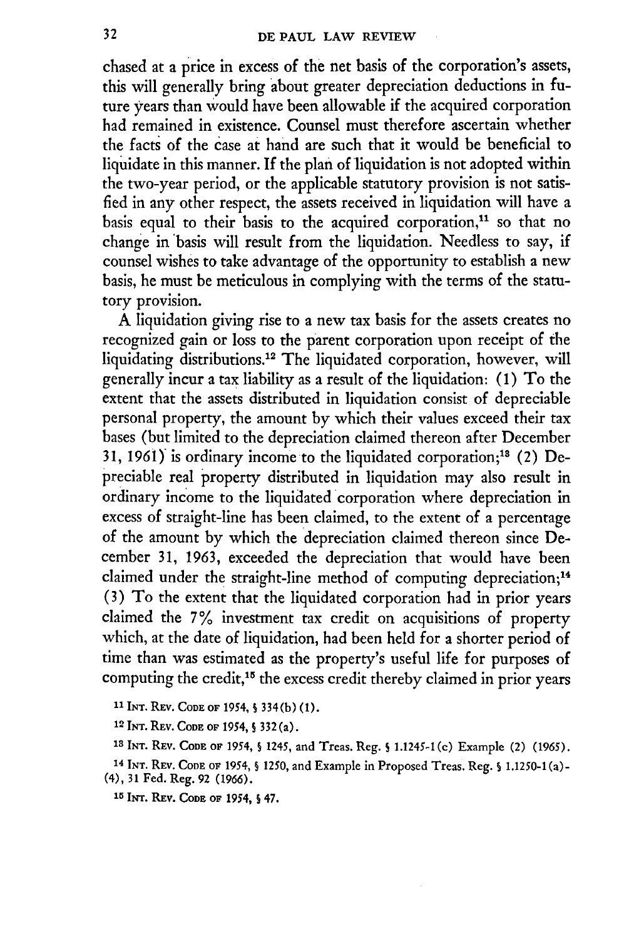chased at a price in excess of the net basis of the corporation's assets, this will generally bring about greater depreciation deductions in **fu**ture years than would have been allowable if the acquired corporation had remained in existence. Counsel must therefore ascertain whether the facts of the case at hand are such that it would be beneficial to liquidate in this manner. **If** the plan of liquidation is not adopted within the two-year period, or the applicable statutory provision is not satisfied in any other respect, the assets received in liquidation will have a basis equal to their basis to the acquired corporation,<sup>11</sup> so that no change in basis will result from the liquidation. Needless to say, if counsel wishes to take advantage of the opportunity to establish a new basis, he must be meticulous in complying with the terms of the statutory provision.

**A** liquidation giving rise to a new tax basis for the assets creates no recognized gain or loss to the parent corporation upon receipt of the liquidating distributions. 12 The liquidated corporation, however, will generally incur a tax liability as a result of the liquidation: **(1)** To the extent that the assets distributed in liquidation consist of depreciable personal property, the amount **by** which their values exceed their tax bases (but limited to the depreciation claimed thereon after December **31, 1961)** is ordinary income to the liquidated corporation;" (2) Depreciable real property distributed in liquidation may also result in ordinary income to the liquidated corporation where depreciation in excess of straight-line has been claimed, to the extent of a percentage of the amount **by** which the depreciation claimed thereon since December **31, 1963,** exceeded the depreciation that would have been claimed under the straight-line method of computing depreciation;<sup>14</sup> **(3)** To the extent that the liquidated corporation had in prior years claimed the 7% investment tax credit on acquisitions of property which, at the date of liquidation, had been held for a shorter period of time than was estimated as the property's useful life for purposes of computing the credit,<sup>15</sup> the excess credit thereby claimed in prior years

<sup>12</sup>**INT. REV. CODE OF** 1954, **S 332** (a).

**<sup>11</sup> INT. REv. CODE** OF 1954, **S** 334(b) (1).

**<sup>18</sup> TNT. REV. CODE OF 1954, S** 1245, and Treas. Reg. **S** 1.1245-1(c) Example (2) **(1965).**

**<sup>14</sup> TNT. REV. CODE OF** 1954, **S 1250,** and Example in Proposed Treas. Reg. **S 1.1250-1** (a)- **(4), 31** Fed. Reg. **92 (1966).**

**<sup>15</sup> TNT. REV. CODE OF** 1954, § 47.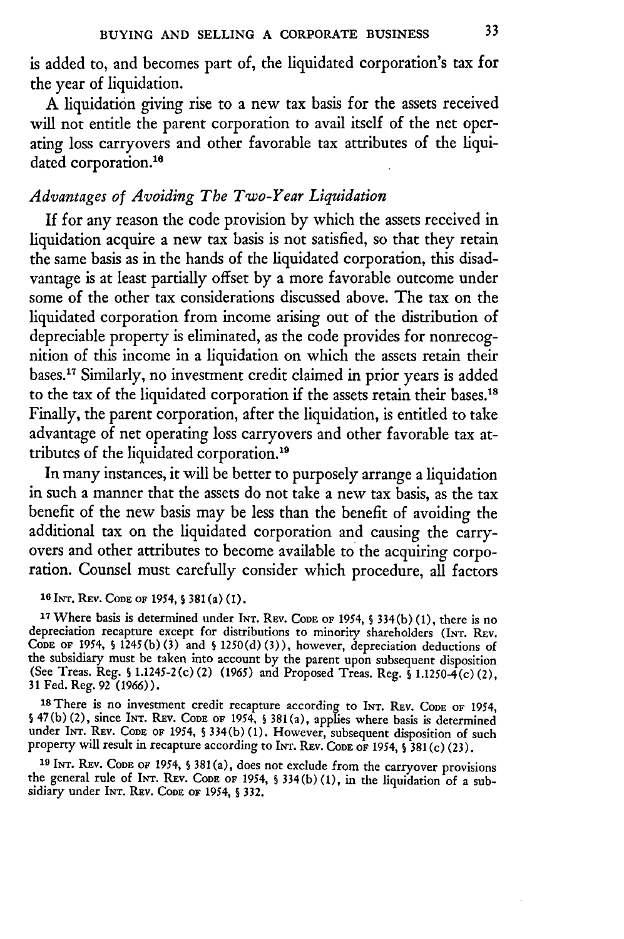is added to, and becomes part of, the liquidated corporation's tax for the year of liquidation.

A liquidation giving rise to a new tax basis for the assets received will not entitle the parent corporation to avail itself of the net operating loss carryovers and other favorable tax attributes of the liquidated corporation.<sup>16</sup>

## *Advantages of Avoiding The Two-Year Liquidation*

If for any reason the code provision by which the assets received in liquidation acquire a new tax basis is not satisfied, so that they retain the same basis as in the hands of the liquidated corporation, this disadvantage is at least partially offset by a more favorable outcome under some of the other tax considerations discussed above. The tax on the liquidated corporation from income arising out of the distribution of depreciable property is eliminated, as the code provides for nonrecognition of this income in a liquidation on which the assets retain their bases. 17 Similarly, no investment credit claimed in prior years is added to the tax of the liquidated corporation if the assets retain their bases.<sup>18</sup> Finally, the parent corporation, after the liquidation, is entitled to take advantage of net operating loss carryovers and other favorable tax attributes of the liquidated corporation. <sup>19</sup>

In many instances, it will be better to purposely arrange a liquidation in such a manner that the assets do not take a new tax basis, as the tax benefit of the new basis may be less than the benefit of avoiding the additional tax on the liquidated corporation and causing the carryovers and other attributes to become available to the acquiring corporation. Counsel must carefully consider which procedure, all factors

#### **16 INT.** REV. **CODE** OF 1954, **S 381** (a) (1).

**<sup>17</sup>**Where basis is determined under **INT. REV.** CODE OF 1954, **S** 334(b) (1), there is no depreciation recapture except for distributions to minority shareholders (INT. REv. **CODE OF** 1954, **S** 1245(b) (3) and **S** 1250(d) (3)), however, depreciation deductions of the subsidiary must be taken into account by the parent upon subsequent disposition (See Treas. Reg. **S** 1.1245-2 (c) (2) **(1965)** and Proposed Treas. Reg. **S** 1.1250-4(c) (2), 31 Fed. Reg. 92 (1966)).

**<sup>18</sup>**There is no investment credit recapture according to **INT.** REV. **CODE** OF 1954, 147(b) (2), since **INT.** REV. **CODE** OF 1954, **S** 381(a), applies where basis is determined under **TNT.** REV. **CODE** OF 1954, **S** 334(b) **(1).** However, subsequent disposition of such property will result in recapture according to INT. REv. **CODE** OF 1954, **S 381** (c) (23).

**<sup>19</sup>**INT. REV. **CODE** OF 1954, **§ 381** (a), does not exclude from the carryover provisions the general rule of INT. REV. **CODE** OF 1954, **S** 334(b) (1), in the liquidation of a subsidiary under INT. REV. Code or 1954, § 332.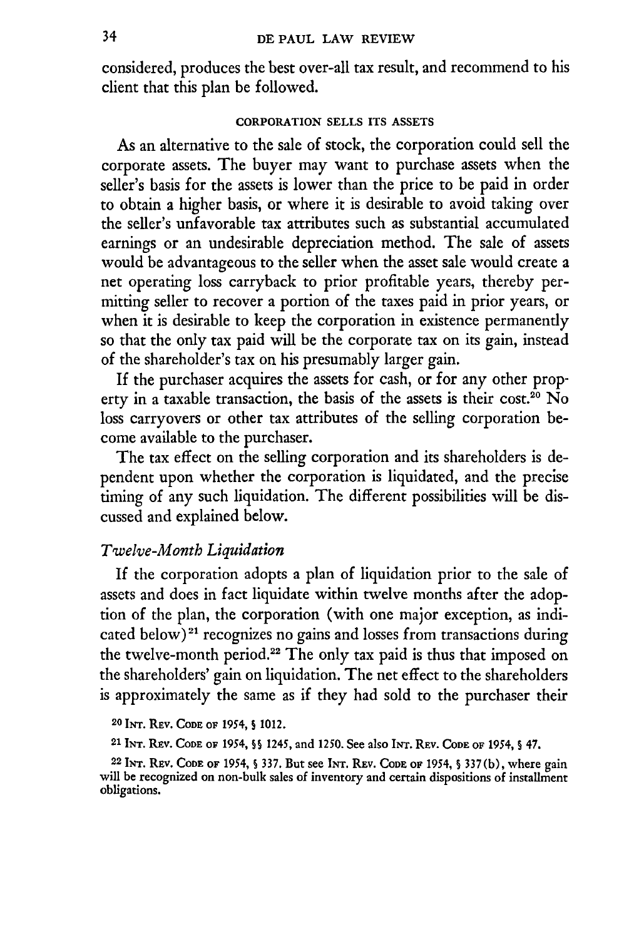considered, produces the best over-all tax result, and recommend to his client that this plan be followed.

#### CORPORATION **SELLS ITS ASSETS**

As an alternative to the sale of stock, the corporation could sell the corporate assets. The buyer may want to purchase assets when the seller's basis for the assets is lower than the price to be paid in order to obtain a higher basis, or where it is desirable to avoid taking over the seller's unfavorable tax attributes such as substantial accumulated earnings or an undesirable depreciation method. The sale of assets would be advantageous to the seller when the asset sale would create a net operating loss carryback to prior profitable years, thereby permitting seller to recover a portion of the taxes paid in prior years, or when it is desirable to keep the corporation in existence permanendy so that the only tax paid will be the corporate tax on its gain, instead of the shareholder's tax on his presumably larger gain.

If the purchaser acquires the assets for cash, or for any other property in a taxable transaction, the basis of the assets is their cost.<sup>20</sup> No loss carryovers or other tax attributes of the selling corporation become available to the purchaser.

The tax effect on the selling corporation and its shareholders is dependent upon whether the corporation is liquidated, and the precise timing of any such liquidation. The different possibilities will be discussed and explained below.

## *Twelve-Month Liquidation*

If the corporation adopts a plan of liquidation prior to the sale of assets and does in fact liquidate within twelve months after the adoption of the plan, the corporation (with one major exception, as indicated below)<sup>21</sup> recognizes no gains and losses from transactions during the twelve-month period.<sup>22</sup> The only tax paid is thus that imposed or the shareholders' gain on liquidation. The net effect to the shareholders is approximately the same as if they had sold to the purchaser their

<sup>20</sup>**hr.** REV. **CODE** OF 1954, **S 1012.**

**21 TINT.** REV. **CODE** OF 1954, **SS** 1245, and **1250.** See also **hNr.** REv. **CODE OF** 1954, **S** 47.

**22 INT.** REV. **CODE OF** 1954, **S 337.** But see **TNT.** REV. **CODE OF** 1954, **S** 337(b), where gain will be recognized on non-bulk sales of inventory and certain dispositions of installment obligations.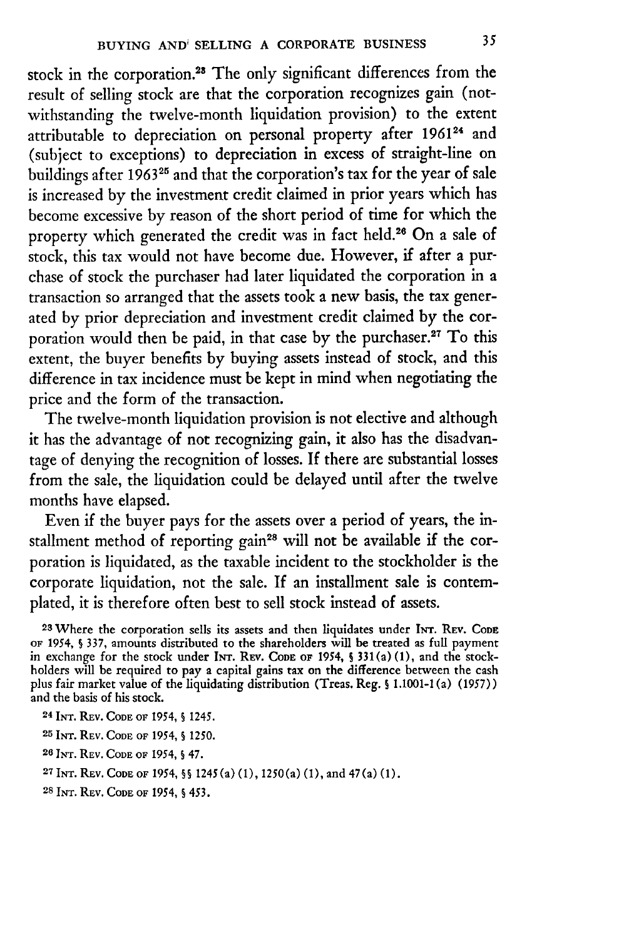stock in the corporation.23 The only significant differences from the result of selling stock are that the corporation recognizes gain (notwithstanding the twelve-month liquidation provision) to the extent attributable to depreciation on personal property after 1961<sup>24</sup> and (subject to exceptions) to depreciation in excess of straight-line on buildings after 1963<sup>25</sup> and that the corporation's tax for the year of sale is increased by the investment credit claimed in prior years which has become excessive by reason of the short period of time for which the property which generated the credit was in fact held.<sup>26</sup> On a sale of stock, this tax would not have become due. However, if after a purchase of stock the purchaser had later liquidated the corporation in a transaction so arranged that the assets took a new basis, the tax generated by prior depreciation and investment credit claimed by the corporation would then be paid, in that case by the purchaser.<sup>27</sup> To this extent, the buyer benefits by buying assets instead of stock, and this difference in tax incidence must be kept in mind when negotiating the price and the form of the transaction.

The twelve-month liquidation provision is not elective and although it has the advantage of not recognizing gain, it also has the disadvantage of denying the recognition of losses. **If** there are substantial losses from the sale, the liquidation could be delayed until after the twelve months have elapsed.

Even if the buyer pays for the assets over a period of years, the installment method of reporting gain<sup>28</sup> will not be available if the corporation is liquidated, as the taxable incident to the stockholder is the corporate liquidation, not the sale. If an installment sale is contemplated, it is therefore often best to sell stock instead of assets.

<sup>2</sup> 3 Where the corporation sells its assets and then liquidates under **INT.** REV. **CODE OF** 1954, **S** 337, amounts distributed to the shareholders will be treated as full payment in exchange for the stock under **INT.** REV. **CODE** OF 1954, **S** 331(a) (1), and the stockholders will be required to pay a capital gains tax on the difference between the cash plus fair market value of the liquidating distribution (Treas. Reg. § 1.1001-1(a) (1957) and the basis of his stock.

**24** INT. REV. **CODE OF** 1954, **§** 1245.

**25** INT. REV. **CODE OF 1954,** 1 1250.

**26 TNT.** REV. **CODE OF** 1954, **§** 47.

**<sup>2</sup> <sup>7</sup>**INT. REV. **CODE OF 1954, §§** 1245 **(a) (1), 1250(a) (1), and** 47(a) **(1).**

28 **INT.** REV. **CODE OF** 1954, § 453.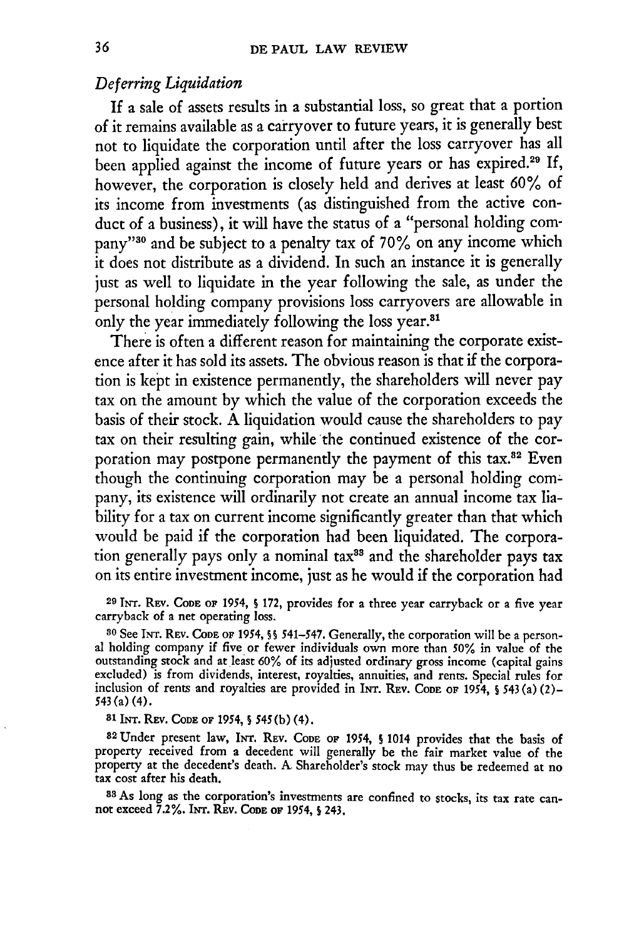## *Deferring Liquidation*

If a sale of assets results in a substantial loss, so great that a portion of it remains available as a carryover to future years, it is generally best not to liquidate the corporation until after the loss carryover has all been applied against the income of future years or has expired.29 **If,** however, the corporation is closely held and derives at least 60% of its income from investments (as distinguished from the active conduct of a business), it will have the status of a "personal holding company"<sup>30</sup> and be subject to a penalty tax of 70% on any income which it does not distribute as a dividend. In such an instance it is generally just as well to liquidate in the year following the sale, as under the personal holding company provisions loss carryovers are allowable in only the year immediately following the loss year.<sup>81</sup>

There is often a different reason for maintaining the corporate existence after it has sold its assets. The obvious reason is that if the corporation is kept in existence permanently, the shareholders will never pay tax on the amount by which the value of the corporation exceeds the basis of their stock. A liquidation would cause the shareholders to pay tax on their resulting gain, while the continued existence of the corporation may postpone permanently the payment of this tax.<sup>82</sup> Even though the continuing corporation may be a personal holding company, its existence will ordinarily not create an annual income tax liability for a tax on current income significantly greater than that which would be paid if the corporation had been liquidated. The corporation generally pays only a nominal tax<sup>88</sup> and the shareholder pays tax on its entire investment income, just as he would if the corporation had

**29 T r. REv. CODE** OF 1954, **S** 172, provides for a three year carryback or a five year carryback of a net operating loss.

**80** See **TNT.** REv. **CODE** OF 1954, **SS** 541-547. Generally, the corporation will be a personal holding company if five or fewer individuals own more than **50%** in value of the outstanding stock and at least **60%** of its adjusted ordinary gross income (capital gains excluded) is from dividends, interest, royalties, annuities, and rents. Special rules for inclusion of rents and royalties are provided in **Tr. REv. CODE OF** 1954, **S** 543 (a) (2)- *543* (a) (4).

**<sup>81</sup>INT. Ray. CODE OF** 1954, **5** 545(b) (4).

82 Under present law, Irr. REv. CODE **OF** 1954, **S** 1014 provides that the basis of property received from a decedent will generally be the fair market value of the property at the decedent's death. *A.* Shareholder's stock may thus be redeemed at no tax cost after his death.

**88** As long as the corporation's investments are confined to stocks, its tax rate cannot exceed  $\overline{7.2\%}$ . INT. REV. Code or 1954, § 243.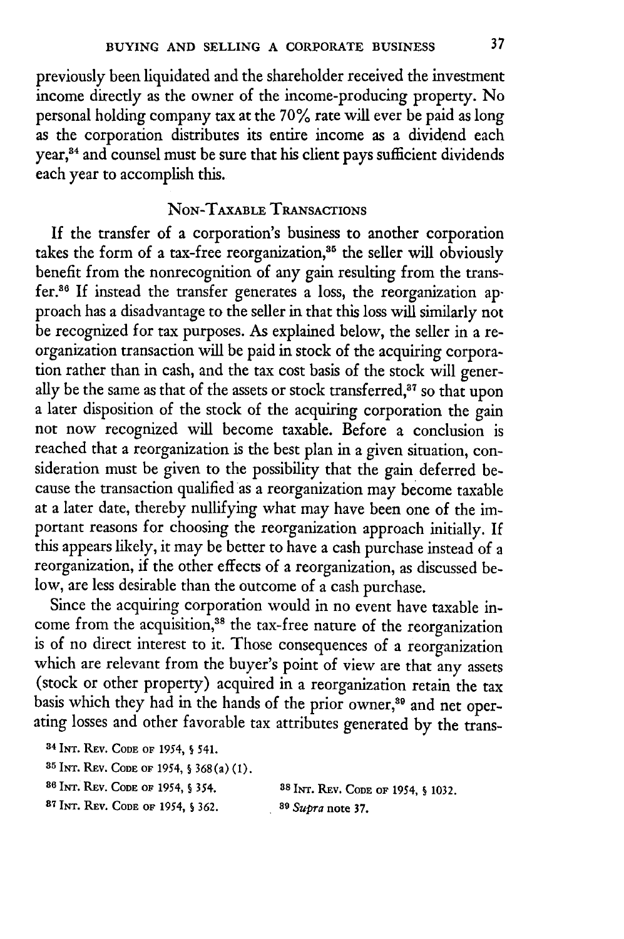previously been liquidated and the shareholder received the investment income directly as the owner of the income-producing property. No personal holding company tax at the 70% rate will ever be paid as long as the corporation distributes its entire income as a dividend each year,<sup>84</sup> and counsel must be sure that his client pays sufficient dividends each year to accomplish this.

## **NON-TAXABLE TRANSACTIoNs**

If the transfer of a corporation's business to another corporation takes the form of a tax-free reorganization,<sup>35</sup> the seller will obviously benefit from the nonrecognition of any gain resulting from the transfer.<sup>36</sup> If instead the transfer generates a loss, the reorganization approach has a disadvantage to the seller in that this loss will similarly not be recognized for tax purposes. As explained below, the seller in a reorganization transaction will be paid in stock of the acquiring corporation rather than in cash, and the tax cost basis of the stock will generally be the same as that of the assets or stock transferred,<sup>87</sup> so that upon a later disposition of the stock of the acquiring corporation the gain not now recognized will become taxable. Before a conclusion is reached that a reorganization is the best plan in a given situation, consideration must be given to the possibility that the gain deferred because the transaction qualified as a reorganization may become taxable at a later date, thereby nullifying what may have been one of the important reasons for choosing the reorganization approach initially. If this appears likely, it may be better to have a cash purchase instead of a reorganization, if the other effects of a reorganization, as discussed below, are less desirable than the outcome of a cash purchase.

Since the acquiring corporation would in no event have taxable income from the acquisition,<sup>38</sup> the tax-free nature of the reorganization is of no direct interest to it. Those consequences of a reorganization which are relevant from the buyer's point of view are that any assets (stock or other property) acquired in a reorganization retain the tax basis which they had in the hands of the prior owner,<sup>39</sup> and net operating losses and other favorable tax attributes generated by the trans-

**34 TNT.** REV. **CODE OF** 1954, **S** 541. **35 INT. REV. CODE OF** 1954, **§** 368(a) (1). **86 INT.** REV. **CODE OF** 1954, **§** 354. **88 INT.** REV. **CODE OF** 1954, **S 1032. 87 TNT. REV. CODE OF** 1954, **§ 362.** *89 Supra* note 37.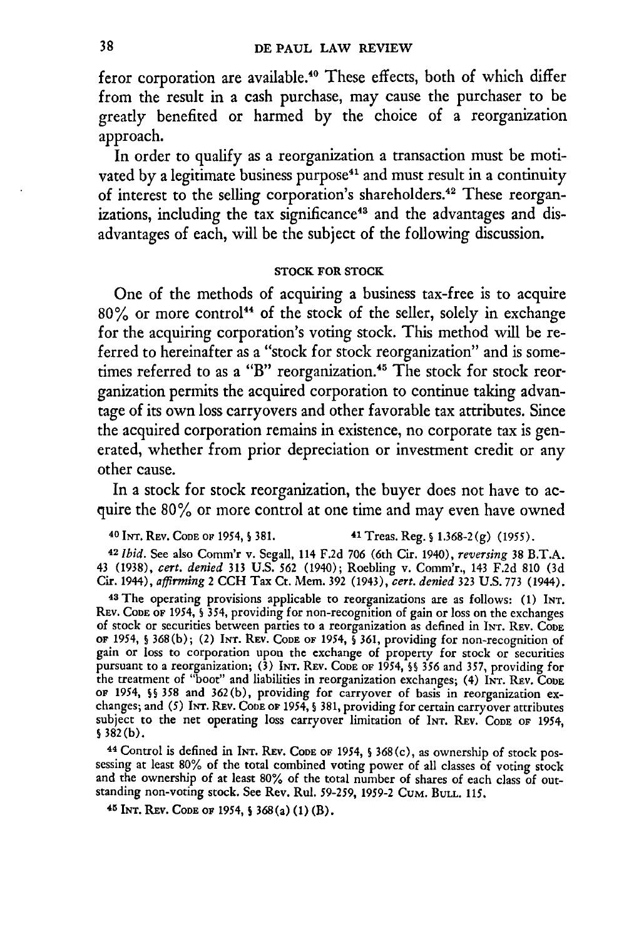feror corporation are available.<sup>40</sup> These effects, both of which differ from the result in a cash purchase, may cause the purchaser to be greatly benefited or harmed **by** the choice of a reorganization approach.

In order to qualify as a reorganization a transaction must be motivated by a legitimate business purpose<sup>41</sup> and must result in a continuity of interest to the selling corporation's shareholders.42 These reorganizations, including the tax significance<sup>43</sup> and the advantages and disadvantages of each, will be the subject of the following discussion.

#### STOCK FOR STOCK

One of the methods of acquiring a business tax-free is to acquire  $80\%$  or more control<sup>44</sup> of the stock of the seller, solely in exchange for the acquiring corporation's voting stock. This method will be referred to hereinafter as a "stock for stock reorganization" and is sometimes referred to as a "B" reorganization.<sup>45</sup> The stock for stock reorganization permits the acquired corporation to continue taking advantage of its own loss carryovers and other favorable tax attributes. Since the acquired corporation remains in existence, no corporate tax is generated, whether from prior depreciation or investment credit or any other cause.

In a stock for stock reorganization, the buyer does not have to acquire the 80% or more control at one time and may even have owned

**40 INT.** REV. CODE **OF** 1954, **S** 381. **41** Treas. Reg. § 1.368-2 **(g)** (1955).

**<sup>42</sup>***Ibid.* See also Comm'r v. Segall, 114 F.2d 706 (6th Cir. 1940), *reversing* 38 B.T.A. 43 (1938), *cert. denied* 313 U.S. *562* (1940); Roebling v. Comm'r., 143 F.2d 810 (3d Cir. 1944), *affirming* 2 CCH Tax Ct. Mem. 392 (1943), *cert. denied* 323 U.S. 773 (1944).

**<sup>43</sup>**The operating provisions applicable to reorganizations are as follows: (1) INT. REV. **CODE OF** 1954, **§** 354, providing for non-recognition of gain or loss on the exchanges of stock or securities between parties to a reorganization as defined in **INT.** REV. CODE OF 1954, § 368(b); (2) INT. REV. **CODE OF** 1954, **S** 361, providing for non-recognition of gain or loss to corporation upon the exchange of property for stock or securities pursuant to a reorganization; (3) **INT.** REV. CODE **OF** 1954, **§§** 356 and 357, providing for the treatment of "boot" and liabilities in reorganization exchanges; (4) INT. REV. CODE **OF** 1954, **S§** 358 and 362(b), providing for carryover of basis in reorganization exchanges; and *(5) INT.* REV. **CODE OF** 1954, 381, providing for certain carryover attributes subject to the net operating loss carryover limitation of **INT.** REv. **CODE OF** 1954, § 382(b).

**<sup>44</sup>**Control is defined in **Ir.** REV. CODE **OF** 1954, **§** 368 (c), as ownership of stock possessing at least 80% of the total combined voting power of all classes of voting stock and the ownership of at least **80%** of the total number of shares of each class of outstanding non-voting stock. See Rev. Rul. 59-259, 1959-2 CUM. BuLL. 115.

**45** INT. REV. CODE **OF** 1954, § 368(a) **(1)** (B).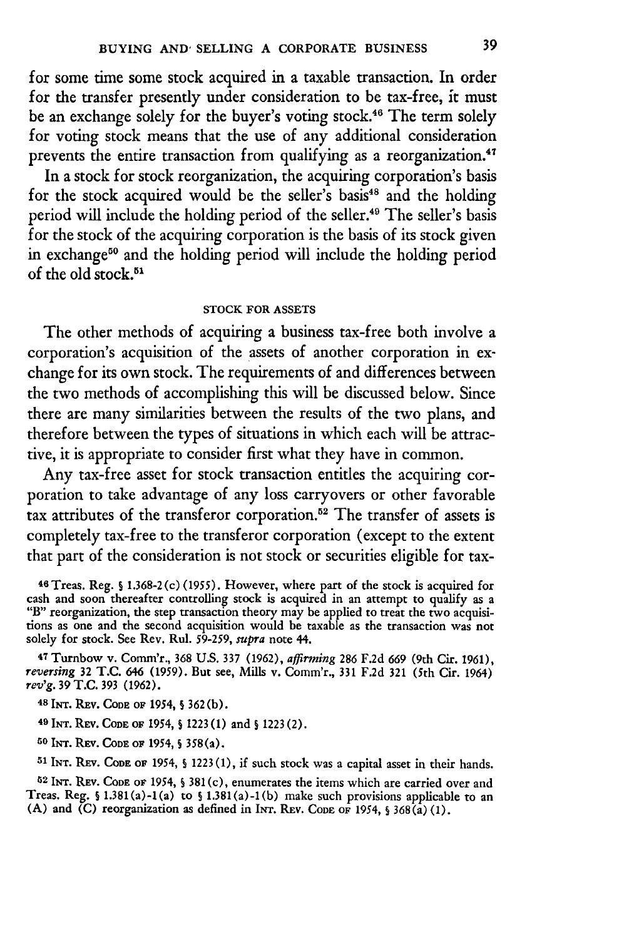for some time some stock acquired in a taxable transaction. In order for the transfer presently under consideration to be tax-free, it must be an exchange solely for the buyer's voting stock.<sup>46</sup> The term solely for voting stock means that the use of any additional consideration prevents the entire transaction from qualifying as a reorganization.<sup>47</sup>

In a stock for stock reorganization, the acquiring corporation's basis for the stock acquired would be the seller's basis<sup>48</sup> and the holding period will include the holding period of the seller.<sup>49</sup> The seller's basis **for** the stock of the acquiring corporation is the basis of its stock given in exchange<sup>50</sup> and the holding period will include the holding period of the old stock.<sup>51</sup>

#### **STOCK FOR ASSETS**

The other methods of acquiring a business tax-free both involve a corporation's acquisition of the assets of another corporation in exchange for its own stock. The requirements of and differences between the two methods of accomplishing this will be discussed below. Since there are many similarities between the results of the two plans, and therefore between the types of situations in which each will be attractive, it is appropriate to consider first what they have in common.

Any tax-free asset for stock transaction entitles the acquiring corporation to take advantage of any loss carryovers or other favorable tax attributes of the transferor corporation.<sup>52</sup> The transfer of assets is completely tax-free to the transferor corporation (except to the extent that part of the consideration is not stock or securities eligible for tax-

<sup>4</sup> 7 Turnbow v. Comm'r., 368 U.S. **337** (1962), *affirming* 286 **F.2d** 669 (9th Cir. 1961), *reversing* **32** T.C. 646 **(1959).** But see, Mills v. Comm'r., 331 **F.2d** 321 (5th Cir. 1964) *rev'g.* 39 **T.C.** 393 (1962).

**48** INT. REV. **CODE** OF **1954, 5 362** (b).

**<sup>49</sup>INT.** REv. **CODE OF** 1954, **5** 1223 (1) and **S 1223** (2).

**<sup>50</sup>**INT. **RE V. CODE OF 1954, S 358(a).**

**51 INT.** REv. CODE **OF 1954, S** 1223(1), if such stock was a capital asset in their hands.

**52 INT.** REV. **CODE OF** 1954, **S** 381 (c), enumerates the items which are carried over and Treas. Reg. **S** 1.381(a)-1(a) to **S** 1.381(a)-1(b) make such provisions applicable to an (A) and  $\overline{(C)}$  reorganization as defined in INT. REV. Code of 1954, § 368 $\overline{(a)}$  (1).

<sup>46</sup>Treas. Reg. **S 1.368-2** (c) **(1955).** However, where part of the stock is acquired for cash and soon thereafter controlling stock is acquired in an attempt to qualify as a **"B"** reorganization, the step transaction theory may be applied to treat the two acquisi- tions as one and the second acquisition would be taxable as the transaction was not solely for stock. See Rev. Rul. **59-259,** *supra* note 44.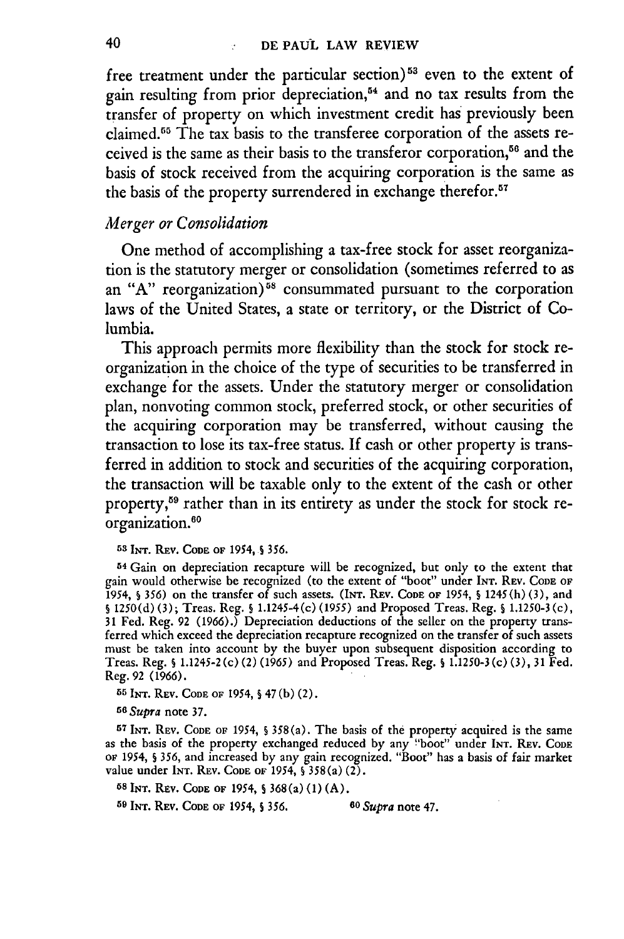free treatment under the particular section)<sup>53</sup> even to the extent of gain resulting from prior depreciation, 54 and no tax results from the transfer of property on which investment credit has previously been claimed.55 The tax basis to the transferee corporation of the assets received is the same as their basis to the transferor corporation, 50 and the basis of stock received from the acquiring corporation is the same as the basis of the property surrendered in exchange therefor.<sup>57</sup>

## *Merger or Consolidation*

One method of accomplishing a tax-free stock for asset reorganization is the statutory merger or consolidation (sometimes referred to as an "A" reorganization)<sup>58</sup> consummated pursuant to the corporation laws of the United States, a state or territory, or the District of Columbia.

This approach permits more flexibility than the stock for stock reorganization in the choice of the type of securities to be transferred in exchange for the assets. Under the statutory merger or consolidation plan, nonvoting common stock, preferred stock, or other securities of the acquiring corporation may be transferred, without causing the transaction to lose its tax-free status. If cash or other property is transferred in addition to stock and securities of the acquiring corporation, the transaction will be taxable only to the extent of the cash or other property,<sup>59</sup> rather than in its entirety as under the stock for stock reorganization.<sup>60</sup>

**<sup>53</sup>INT.** REV. CODE **OF** 1954, **S** *356.*

**<sup>54</sup>**Gain on depreciation recapture will be recognized, but only to the extent that gain would otherwise be recognized (to the extent of "boot" under INT. REV. **CODE** OF 1954, **§** 356) on the transfer of such assets. **(INT.** Rxv. **CODE OF** 1954, **§** 1245(h) (3), and § 1250(d) (3); Treas. Reg. **§** 1.1245-4(c) (1955) and Proposed Treas. Reg. **5** 1.1250-3 (c), 31 Fed. Reg. 92 (1966).) Depreciation deductions of the seller on the property transferred which exceed the depreciation recapture recognized on the transfer of such assets must be taken into account by the buyer upon subsequent disposition according to Treas. Reg. **S** 1.1245-2 (c) (2) (1965) and Proposed Treas. Reg. **S** 1.1250-3 (c) (3), 31 Fed. Reg. 92 (1966).

**<sup>55</sup>**INsr. REv. **CODE OF** 1954, **S** 47 (b) (2).

**<sup>56</sup>***Supra* note 37.

**57 INT.** REv. **CODE** OF 1954, § 358(a). The basis of the property acquired is the same as the basis of the property exchanged reduced by any "boot" under **INT.** REV. **CODE** OF 1954, **S** 356, and increased by any gain recognized. "Boot" has a basis of fair market value under INT. REV. **CODE OF** 1954, **§** 358(a) (2).

**<sup>58</sup>**INT. REv. **CODE OF** 1954, **S** 368(a) (1) (A).

9 **INT. REv. CODE OF** 1954, **S** *356.* 6 *Supra* note 47.

40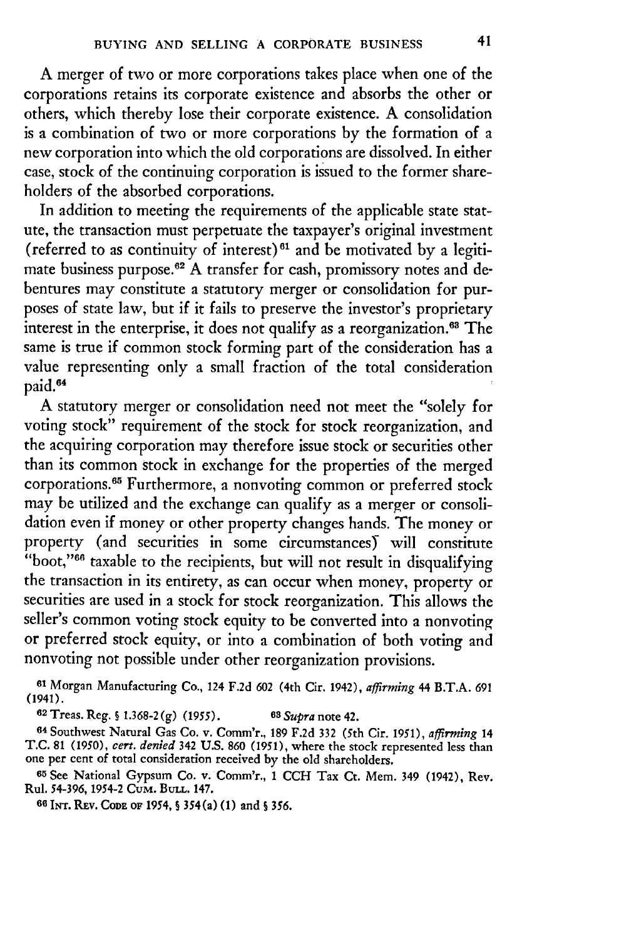A merger of two or more corporations takes place when one of the corporations retains its corporate existence and absorbs the other or others, which thereby lose their corporate existence. A consolidation is a combination of two or more corporations by the formation of a new corporation into which the old corporations are dissolved. In either case, stock of the continuing corporation is issued to the former shareholders of the absorbed corporations.

In addition to meeting the requirements of the applicable state statute, the transaction must perpetuate the taxpayer's original investment (referred to as continuity of interest) $^{61}$  and be motivated by a legitimate business purpose.<sup>62</sup> A transfer for cash, promissory notes and debentures may constitute a statutory merger or consolidation for purposes of state law, but if it fails to preserve the investor's proprietary interest in the enterprise, it does not qualify as a reorganization. 63 The same is true if common stock forming part of the consideration has a value representing only a small fraction of the total consideration paid.64

**A** statutory merger or consolidation need not meet the "solely for voting stock" requirement of the stock for stock reorganization, and the acquiring corporation may therefore issue stock or securities other than its common stock in exchange for the properties of the merged corporations. 65 Furthermore, a nonvoting common or preferred stock may be utilized and the exchange can qualify as a merger or consolidation even if money or other property changes hands. The money or property (and securities in some circumstances) will constitute "boot,"<sup>66</sup> taxable to the recipients, but will not result in disqualifying the transaction in its entirety, as can occur when money, property or securities are used in a stock for stock reorganization. This allows the seller's common voting stock equity to be converted into a nonvoting or preferred stock equity, or into a combination of both voting and nonvoting not possible under other reorganization provisions.

**<sup>61</sup>**Morgan Manufacturing Co., 124 **F.2d 602** (4th Cir. 1942), affirming 44 B.T.A. **691** (1941). **<sup>62</sup>**Treas. Reg. **§** <sup>1</sup> . 368-2 **(g)** *(1955). 68 Supra* note 42.

**<sup>64</sup>**Southwest Natural Gas Co. v. Comm'r., 189 **F.2d 332** (5th Cir. 1951), *affirming* 14 T.C. 81 (1950), *cert. denied* 342 U.S. 860 (1951), where the stock represented less than one per cent of total consideration received **by** the old shareholders.

**<sup>65</sup>**See National Gypsum Co. v. Comm'r., **I CCH** Tax Ct. Mem. 349 (1942), Rev. Rul. 54-396, 1954-2 CuM. BuLL. 147.

**<sup>6</sup> <sup>6</sup> INTr. REv. CoDE oF** 1954, **S** 354(a) **(1)** and **S** 356.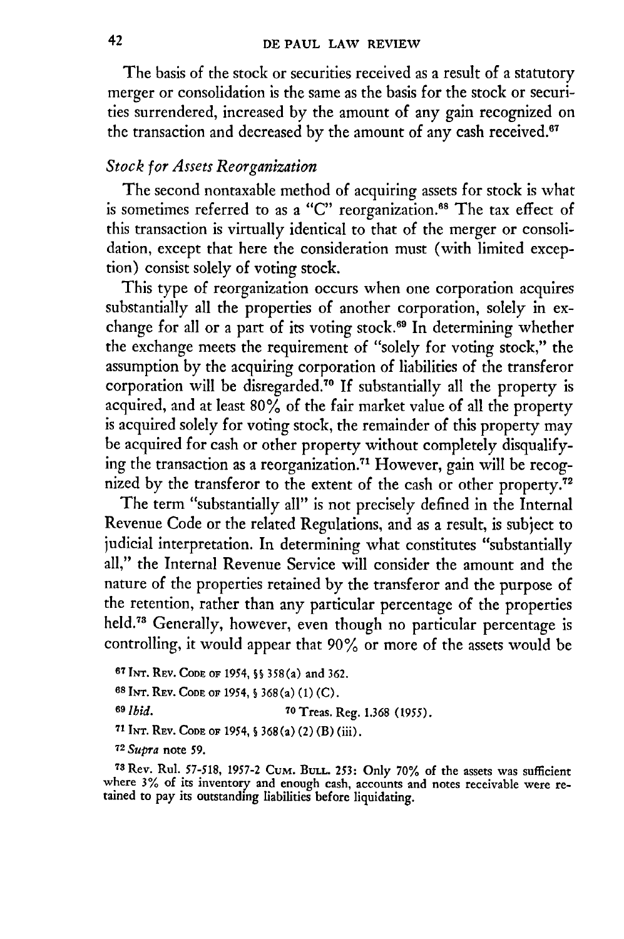The basis of the stock or securities received as a result of a statutory merger or consolidation is the same as the basis for the stock or securities surrendered, increased **by** the amount of any gain recognized on the transaction and decreased by the amount of any cash received.<sup>67</sup>

## *Stock for Assets Reorganization*

The second nontaxable method of acquiring assets for stock is what is sometimes referred to as a "C" reorganization.<sup>68</sup> The tax effect of this transaction is virtually identical to that of the merger or consolidation, except that here the consideration must (with limited exception) consist solely of voting stock.

This type of reorganization occurs when one corporation acquires substantially all the properties of another corporation, solely in exchange for all or a part of its voting stock.<sup>69</sup> In determining whether the exchange meets the requirement of "solely for voting stock," the assumption by the acquiring corporation of liabilities of the transferor corporation will be disregarded.<sup>70</sup> If substantially all the property is acquired, and at least 80% of the fair market value of all the property is acquired solely for voting stock, the remainder of this property may be acquired for cash or other property without completely disqualifying the transaction as a reorganization. 71 However, gain will be recognized by the transferor to the extent of the cash or other property.<sup>72</sup>

The term "substantially all" is not precisely defined in the Internal Revenue Code or the related Regulations, and as a result, is subject to judicial interpretation. In determining what constitutes "substantially all," the Internal Revenue Service will consider the amount and the nature of the properties retained **by** the transferor and the purpose of the retention, rather than any particular percentage of the properties held.<sup>73</sup> Generally, however, even though no particular percentage is controlling, it would appear that 90% or more of the assets would be

- **67 TNT.** REV. **CODE OF** 1954, **S§** 358(a) and **362.**
- **68 INT.** REV. CODE **OF** 1954, **S 368** (a) **(1) (C).**
- 
- **<sup>69</sup>***Ibid.* **70** Treas. Reg. 1.368 **(1955).** 71 INT. REV. CODE **OF** 1954, **S** 368(a) (2) (B) (iii).
- **72** *Supra* note 59.

**<sup>73</sup>**Rev. Rul. 57-518, 1957-2 CUM. BuLL. 253: Only 70% of the assets was sufficient where 3% of its inventory and enough cash, accounts and notes receivable were retained to pay its outstanding liabilities before liquidating.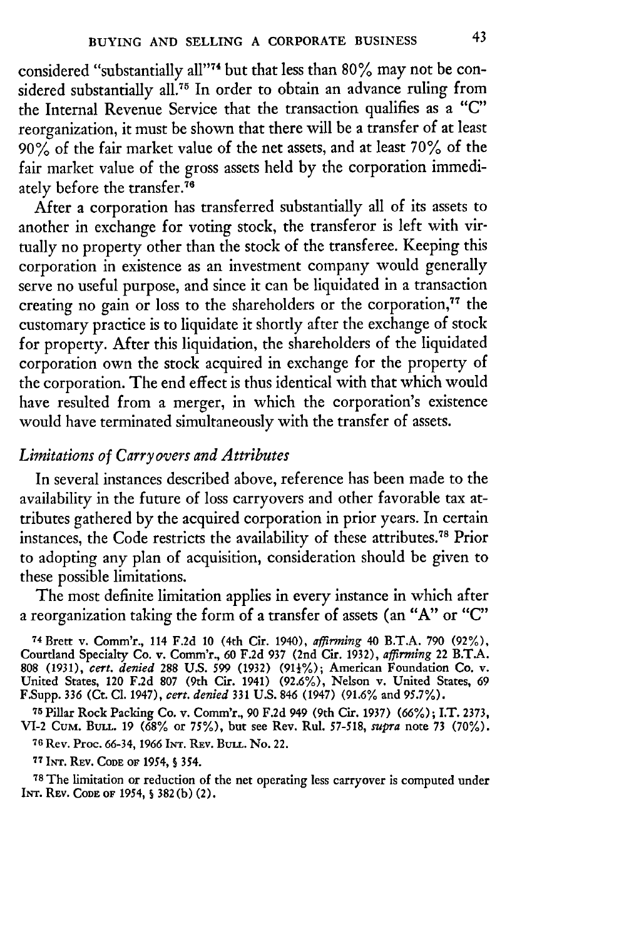considered "substantially all"<sup>74</sup> but that less than 80% may not be considered substantially all.<sup>75</sup> In order to obtain an advance ruling from the Internal Revenue Service that the transaction qualifies as a "C" reorganization, it must be shown that there will be a transfer of at least 90% of the fair market value of the net assets, and at least **70%** of the fair market value of the gross assets held by the corporation immediately before the transfer.<sup>76</sup>

After a corporation has transferred substantially all of its assets to another in exchange for voting stock, the transferor is left with virtually no property other than the stock of the transferee. Keeping this corporation in existence as an investment company would generally serve no useful purpose, and since it can be liquidated in a transaction creating no gain or loss to the shareholders or the corporation, $77$  the customary practice is to liquidate it shortly after the exchange of stock for property. After this liquidation, the shareholders of the liquidated corporation own the stock acquired in exchange for the property of the corporation. The end effect is thus identical with that which would have resulted from a merger, in which the corporation's existence would have terminated simultaneously with the transfer of assets.

## *Limitations of Carryovers and Attributes*

In several instances described above, reference has been made to the availability in the future of loss carryovers and other favorable tax attributes gathered by the acquired corporation in prior years. In certain instances, the Code restricts the availability of these attributes.<sup>78</sup> Prior to adopting any plan of acquisition, consideration should be given to these possible limitations.

The most definite limitation applies in every instance in which after a reorganization taking the form of a transfer of assets (an "A" or "C"

**<sup>74</sup>**Brett v. Comm'r., 114 **F.2d** 10 (4th Cir. 1940), *affirming* 40 B.T.A. **790** (92%), Courtland Specialty Co. v. Comm'r., 60 F.2d **937** (2nd Cir. 1932), *affirming* 22 B.T.A. 808 (1931), *cert. denied* 288 U.S. 599 (1932) (91 %); American Foundation Co. v. United States, 120 F.2d 807 (9th Cir. 1941) (92.6%), Nelson v. United States, 69 F.Supp. **336** (Ct. CI. 1947), *cert. denied* **331** U.S. 846 (1947) (91.6% and 95.7%).

**<sup>75</sup>**Pillar Rock Packing Co. v. Comm'r., 90 F.2d 949 (9th Cir. 1937) (66%); I.T. 2373, VI-2 CUM. BuLL. 19 (68% or 75%), but see Rev. Rul. 57-518, *supra* note **73** (70%).

**<sup>76</sup>**Rev. Proc. 66-34, 1966 **INT.** REv. BuLL. No. 22.

**77 INT.** REv. **CODE OF** 1954, **S** 354.

**<sup>78</sup>**The limitation or reduction of the net operating less carryover is computed under INr. REv. **CODE OF** 1954, **S** 382(b) (2).